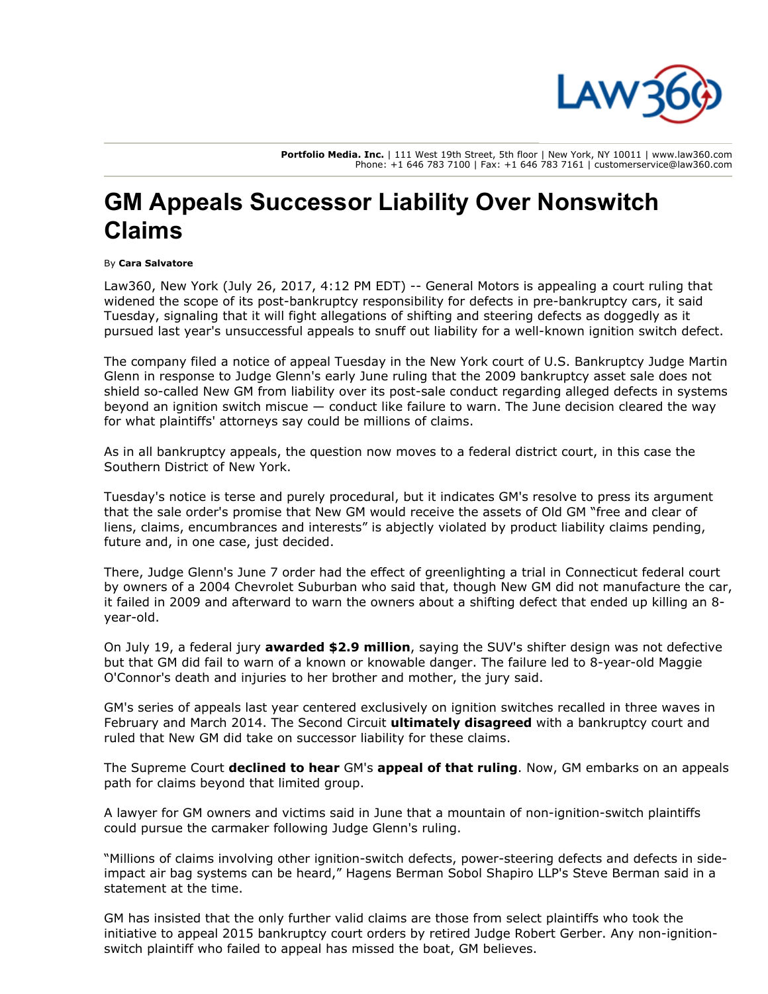

Portfolio Media. Inc. | 111 West 19th Street, 5th floor | New York, NY 10011 | www.law360.com Phone: +1 646 783 7100 | Fax: +1 646 783 7161 | customerservice@law360.com

## GM Appeals Successor Liability Over Nonswitch Claims

## By Cara Salvatore

Law360, New York (July 26, 2017, 4:12 PM EDT) -- [General Motors](https://www.law360.com/companies/general-motors) is appealing a court ruling that widened the scope of its post-bankruptcy responsibility for defects in pre-bankruptcy cars, it said Tuesday, signaling that it will fight allegations of shifting and steering defects as doggedly as it pursued last year's unsuccessful appeals to snuff out liability for a well-known ignition switch defect.

The company filed a notice of appeal Tuesday in the New York court of U.S. Bankruptcy Judge Martin Glenn in response to Judge Glenn's early June ruling that the 2009 bankruptcy asset sale does not shield so-called New GM from liability over its post-sale conduct regarding alleged defects in systems beyond an ignition switch miscue — conduct like failure to warn. The June decision cleared the way for what plaintiffs' attorneys say could be millions of claims.

As in all bankruptcy appeals, the question now moves to a federal district court, in this case the Southern District of New York.

Tuesday's notice is terse and purely procedural, but it indicates GM's resolve to press its argument that the sale order's promise that New GM would receive the assets of Old GM "free and clear of liens, claims, encumbrances and interests" is abjectly violated by product liability claims pending, future and, in one case, just decided.

There, Judge Glenn's June 7 order had the effect of greenlighting a trial in Connecticut federal court by owners of a 2004 Chevrolet Suburban who said that, though New GM did not manufacture the car, it failed in 2009 and afterward to warn the owners about a shifting defect that ended up killing an 8 year-old.

On July 19, a federal jury [awarded \\$2.9 million](https://www.law360.com/articles/945965), saying the SUV's shifter design was not defective but that GM did fail to warn of a known or knowable danger. The failure led to 8-year-old Maggie O'Connor's death and injuries to her brother and mother, the jury said.

GM's series of appeals last year centered exclusively on ignition switches recalled in three waves in February and March 2014. The Second Circuit **[ultimately disagreed](https://www.law360.com/articles/816987)** with a bankruptcy court and ruled that New GM did take on successor liability for these claims.

The Supreme Court [declined to hear](https://www.law360.com/articles/916308) GM's [appeal of that ruling](https://www.law360.com/articles/868787). Now, GM embarks on an appeals path for claims beyond that limited group.

A lawyer for GM owners and victims said in June that a mountain of non-ignition-switch plaintiffs could pursue the carmaker following Judge Glenn's ruling.

"Millions of claims involving other ignition-switch defects, power-steering defects and defects in sideimpact air bag systems can be heard," [Hagens Berman Sobol Shapiro LLP's Steve Berman](https://www.law360.com/firms/hagens-berman) said in a statement at the time.

GM has insisted that the only further valid claims are those from select plaintiffs who took the initiative to appeal 2015 bankruptcy court orders by retired Judge Robert Gerber. Any non-ignitionswitch plaintiff who failed to appeal has missed the boat, GM believes.